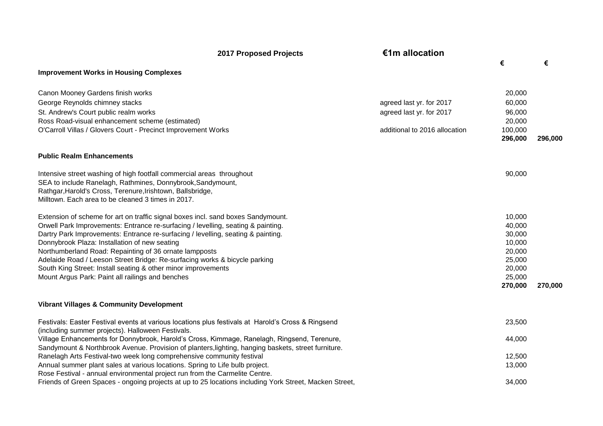|                                                                                                                                                                                                                                                          | <b>2017 Proposed Projects</b> | €1m allocation                |         |         |
|----------------------------------------------------------------------------------------------------------------------------------------------------------------------------------------------------------------------------------------------------------|-------------------------------|-------------------------------|---------|---------|
|                                                                                                                                                                                                                                                          |                               |                               | €       | €       |
| <b>Improvement Works in Housing Complexes</b>                                                                                                                                                                                                            |                               |                               |         |         |
| Canon Mooney Gardens finish works                                                                                                                                                                                                                        |                               |                               | 20,000  |         |
| George Reynolds chimney stacks                                                                                                                                                                                                                           |                               | agreed last yr. for 2017      | 60,000  |         |
| St. Andrew's Court public realm works                                                                                                                                                                                                                    |                               | agreed last yr. for 2017      | 96,000  |         |
| Ross Road-visual enhancement scheme (estimated)                                                                                                                                                                                                          |                               |                               | 20,000  |         |
| O'Carroll Villas / Glovers Court - Precinct Improvement Works                                                                                                                                                                                            |                               | additional to 2016 allocation | 100,000 |         |
|                                                                                                                                                                                                                                                          |                               |                               | 296,000 | 296,000 |
| <b>Public Realm Enhancements</b>                                                                                                                                                                                                                         |                               |                               |         |         |
| Intensive street washing of high footfall commercial areas throughout<br>SEA to include Ranelagh, Rathmines, Donnybrook, Sandymount,<br>Rathgar, Harold's Cross, Terenure, Irishtown, Ballsbridge,<br>Milltown. Each area to be cleaned 3 times in 2017. |                               |                               | 90,000  |         |
| Extension of scheme for art on traffic signal boxes incl. sand boxes Sandymount.                                                                                                                                                                         |                               |                               | 10,000  |         |
| Orwell Park Improvements: Entrance re-surfacing / levelling, seating & painting.                                                                                                                                                                         |                               |                               | 40,000  |         |
| Dartry Park Improvements: Entrance re-surfacing / levelling, seating & painting.                                                                                                                                                                         |                               |                               | 30,000  |         |
| Donnybrook Plaza: Installation of new seating                                                                                                                                                                                                            |                               |                               | 10,000  |         |
| Northumberland Road: Repainting of 36 ornate lampposts                                                                                                                                                                                                   |                               |                               | 20,000  |         |
| Adelaide Road / Leeson Street Bridge: Re-surfacing works & bicycle parking                                                                                                                                                                               |                               |                               | 25,000  |         |
| South King Street: Install seating & other minor improvements                                                                                                                                                                                            |                               |                               | 20,000  |         |
| Mount Argus Park: Paint all railings and benches                                                                                                                                                                                                         |                               |                               | 25,000  |         |
|                                                                                                                                                                                                                                                          |                               |                               | 270,000 | 270,000 |
| <b>Vibrant Villages &amp; Community Development</b>                                                                                                                                                                                                      |                               |                               |         |         |
| Festivals: Easter Festival events at various locations plus festivals at Harold's Cross & Ringsend<br>(including summer projects). Halloween Festivals.                                                                                                  |                               |                               | 23,500  |         |
| Village Enhancements for Donnybrook, Harold's Cross, Kimmage, Ranelagh, Ringsend, Terenure,<br>Sandymount & Northbrook Avenue. Provision of planters, lighting, hanging baskets, street furniture.                                                       |                               |                               | 44,000  |         |
| Ranelagh Arts Festival-two week long comprehensive community festival                                                                                                                                                                                    |                               |                               | 12,500  |         |
| Annual summer plant sales at various locations. Spring to Life bulb project.                                                                                                                                                                             |                               |                               | 13,000  |         |
| Rose Festival - annual environmental project run from the Carmelite Centre.                                                                                                                                                                              |                               |                               |         |         |
| Friends of Green Spaces - ongoing projects at up to 25 locations including York Street, Macken Street,                                                                                                                                                   |                               |                               | 34,000  |         |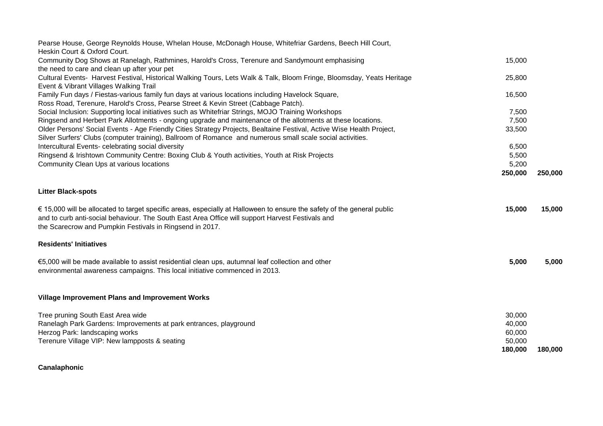| Community Dog Shows at Ranelagh, Rathmines, Harold's Cross, Terenure and Sandymount emphasising<br>15,000<br>the need to care and clean up after your pet<br>Cultural Events- Harvest Festival, Historical Walking Tours, Lets Walk & Talk, Bloom Fringe, Bloomsday, Yeats Heritage<br>25,800<br>Event & Vibrant Villages Walking Trail<br>Family Fun days / Fiestas-various family fun days at various locations including Havelock Square,<br>16,500<br>Ross Road, Terenure, Harold's Cross, Pearse Street & Kevin Street (Cabbage Patch).<br>Social Inclusion: Supporting local initiatives such as Whitefriar Strings, MOJO Training Workshops<br>7,500<br>Ringsend and Herbert Park Allotments - ongoing upgrade and maintenance of the allotments at these locations.<br>7,500<br>Older Persons' Social Events - Age Friendly Cities Strategy Projects, Bealtaine Festival, Active Wise Health Project,<br>33,500<br>6,500<br>5,500<br>5,200<br>250,000<br>250,000<br>15,000<br>15,000<br>5,000<br>5,000<br>Tree pruning South East Area wide<br>30,000<br>Ranelagh Park Gardens: Improvements at park entrances, playground<br>40,000 | Pearse House, George Reynolds House, Whelan House, McDonagh House, Whitefriar Gardens, Beech Hill Court,                                                                                                                                                                                |         |         |
|----------------------------------------------------------------------------------------------------------------------------------------------------------------------------------------------------------------------------------------------------------------------------------------------------------------------------------------------------------------------------------------------------------------------------------------------------------------------------------------------------------------------------------------------------------------------------------------------------------------------------------------------------------------------------------------------------------------------------------------------------------------------------------------------------------------------------------------------------------------------------------------------------------------------------------------------------------------------------------------------------------------------------------------------------------------------------------------------------------------------------------------------|-----------------------------------------------------------------------------------------------------------------------------------------------------------------------------------------------------------------------------------------------------------------------------------------|---------|---------|
|                                                                                                                                                                                                                                                                                                                                                                                                                                                                                                                                                                                                                                                                                                                                                                                                                                                                                                                                                                                                                                                                                                                                              | Heskin Court & Oxford Court.                                                                                                                                                                                                                                                            |         |         |
|                                                                                                                                                                                                                                                                                                                                                                                                                                                                                                                                                                                                                                                                                                                                                                                                                                                                                                                                                                                                                                                                                                                                              |                                                                                                                                                                                                                                                                                         |         |         |
|                                                                                                                                                                                                                                                                                                                                                                                                                                                                                                                                                                                                                                                                                                                                                                                                                                                                                                                                                                                                                                                                                                                                              |                                                                                                                                                                                                                                                                                         |         |         |
|                                                                                                                                                                                                                                                                                                                                                                                                                                                                                                                                                                                                                                                                                                                                                                                                                                                                                                                                                                                                                                                                                                                                              |                                                                                                                                                                                                                                                                                         |         |         |
|                                                                                                                                                                                                                                                                                                                                                                                                                                                                                                                                                                                                                                                                                                                                                                                                                                                                                                                                                                                                                                                                                                                                              |                                                                                                                                                                                                                                                                                         |         |         |
|                                                                                                                                                                                                                                                                                                                                                                                                                                                                                                                                                                                                                                                                                                                                                                                                                                                                                                                                                                                                                                                                                                                                              |                                                                                                                                                                                                                                                                                         |         |         |
|                                                                                                                                                                                                                                                                                                                                                                                                                                                                                                                                                                                                                                                                                                                                                                                                                                                                                                                                                                                                                                                                                                                                              |                                                                                                                                                                                                                                                                                         |         |         |
|                                                                                                                                                                                                                                                                                                                                                                                                                                                                                                                                                                                                                                                                                                                                                                                                                                                                                                                                                                                                                                                                                                                                              |                                                                                                                                                                                                                                                                                         |         |         |
|                                                                                                                                                                                                                                                                                                                                                                                                                                                                                                                                                                                                                                                                                                                                                                                                                                                                                                                                                                                                                                                                                                                                              |                                                                                                                                                                                                                                                                                         |         |         |
|                                                                                                                                                                                                                                                                                                                                                                                                                                                                                                                                                                                                                                                                                                                                                                                                                                                                                                                                                                                                                                                                                                                                              | Silver Surfers' Clubs (computer training), Ballroom of Romance and numerous small scale social activities.                                                                                                                                                                              |         |         |
|                                                                                                                                                                                                                                                                                                                                                                                                                                                                                                                                                                                                                                                                                                                                                                                                                                                                                                                                                                                                                                                                                                                                              | Intercultural Events- celebrating social diversity                                                                                                                                                                                                                                      |         |         |
|                                                                                                                                                                                                                                                                                                                                                                                                                                                                                                                                                                                                                                                                                                                                                                                                                                                                                                                                                                                                                                                                                                                                              | Ringsend & Irishtown Community Centre: Boxing Club & Youth activities, Youth at Risk Projects                                                                                                                                                                                           |         |         |
|                                                                                                                                                                                                                                                                                                                                                                                                                                                                                                                                                                                                                                                                                                                                                                                                                                                                                                                                                                                                                                                                                                                                              | Community Clean Ups at various locations                                                                                                                                                                                                                                                |         |         |
|                                                                                                                                                                                                                                                                                                                                                                                                                                                                                                                                                                                                                                                                                                                                                                                                                                                                                                                                                                                                                                                                                                                                              |                                                                                                                                                                                                                                                                                         |         |         |
|                                                                                                                                                                                                                                                                                                                                                                                                                                                                                                                                                                                                                                                                                                                                                                                                                                                                                                                                                                                                                                                                                                                                              | <b>Litter Black-spots</b>                                                                                                                                                                                                                                                               |         |         |
|                                                                                                                                                                                                                                                                                                                                                                                                                                                                                                                                                                                                                                                                                                                                                                                                                                                                                                                                                                                                                                                                                                                                              | € 15,000 will be allocated to target specific areas, especially at Halloween to ensure the safety of the general public<br>and to curb anti-social behaviour. The South East Area Office will support Harvest Festivals and<br>the Scarecrow and Pumpkin Festivals in Ringsend in 2017. |         |         |
|                                                                                                                                                                                                                                                                                                                                                                                                                                                                                                                                                                                                                                                                                                                                                                                                                                                                                                                                                                                                                                                                                                                                              | <b>Residents' Initiatives</b>                                                                                                                                                                                                                                                           |         |         |
|                                                                                                                                                                                                                                                                                                                                                                                                                                                                                                                                                                                                                                                                                                                                                                                                                                                                                                                                                                                                                                                                                                                                              | €5,000 will be made available to assist residential clean ups, autumnal leaf collection and other<br>environmental awareness campaigns. This local initiative commenced in 2013.                                                                                                        |         |         |
|                                                                                                                                                                                                                                                                                                                                                                                                                                                                                                                                                                                                                                                                                                                                                                                                                                                                                                                                                                                                                                                                                                                                              | <b>Village Improvement Plans and Improvement Works</b>                                                                                                                                                                                                                                  |         |         |
|                                                                                                                                                                                                                                                                                                                                                                                                                                                                                                                                                                                                                                                                                                                                                                                                                                                                                                                                                                                                                                                                                                                                              |                                                                                                                                                                                                                                                                                         |         |         |
|                                                                                                                                                                                                                                                                                                                                                                                                                                                                                                                                                                                                                                                                                                                                                                                                                                                                                                                                                                                                                                                                                                                                              |                                                                                                                                                                                                                                                                                         |         |         |
|                                                                                                                                                                                                                                                                                                                                                                                                                                                                                                                                                                                                                                                                                                                                                                                                                                                                                                                                                                                                                                                                                                                                              | Herzog Park: landscaping works                                                                                                                                                                                                                                                          | 60,000  |         |
| 50,000                                                                                                                                                                                                                                                                                                                                                                                                                                                                                                                                                                                                                                                                                                                                                                                                                                                                                                                                                                                                                                                                                                                                       | Terenure Village VIP: New lampposts & seating                                                                                                                                                                                                                                           |         |         |
|                                                                                                                                                                                                                                                                                                                                                                                                                                                                                                                                                                                                                                                                                                                                                                                                                                                                                                                                                                                                                                                                                                                                              |                                                                                                                                                                                                                                                                                         | 180,000 | 180,000 |

## **Canalaphonic**